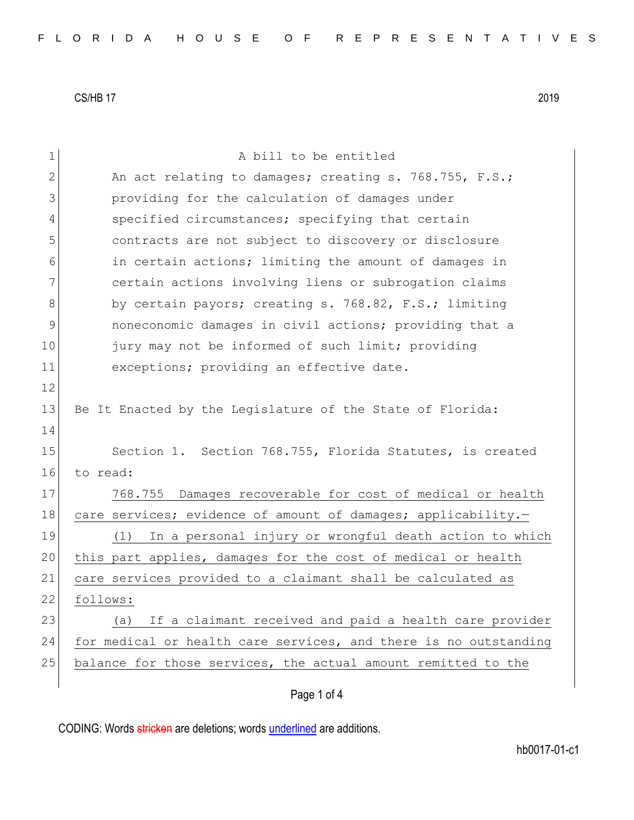1 a bill to be entitled 2 An act relating to damages; creating s. 768.755, F.S.; 3 providing for the calculation of damages under 4 specified circumstances; specifying that certain 5 contracts are not subject to discovery or disclosure 6 6 in certain actions; limiting the amount of damages in 7 certain actions involving liens or subrogation claims 8 by certain payors; creating s. 768.82, F.S.; limiting 9 9 noneconomic damages in civil actions; providing that a 10 jury may not be informed of such limit; providing 11 exceptions; providing an effective date. 12 13 Be It Enacted by the Legislature of the State of Florida: 14 15 Section 1. Section 768.755, Florida Statutes, is created 16 to read: 17 768.755 Damages recoverable for cost of medical or health 18 care services; evidence of amount of damages; applicability.-19 (1) In a personal injury or wrongful death action to which 20 this part applies, damages for the cost of medical or health 21 care services provided to a claimant shall be calculated as 22 follows: 23 (a) If a claimant received and paid a health care provider 24 for medical or health care services, and there is no outstanding 25 balance for those services, the actual amount remitted to the

Page 1 of 4

CODING: Words stricken are deletions; words underlined are additions.

hb0017-01-c1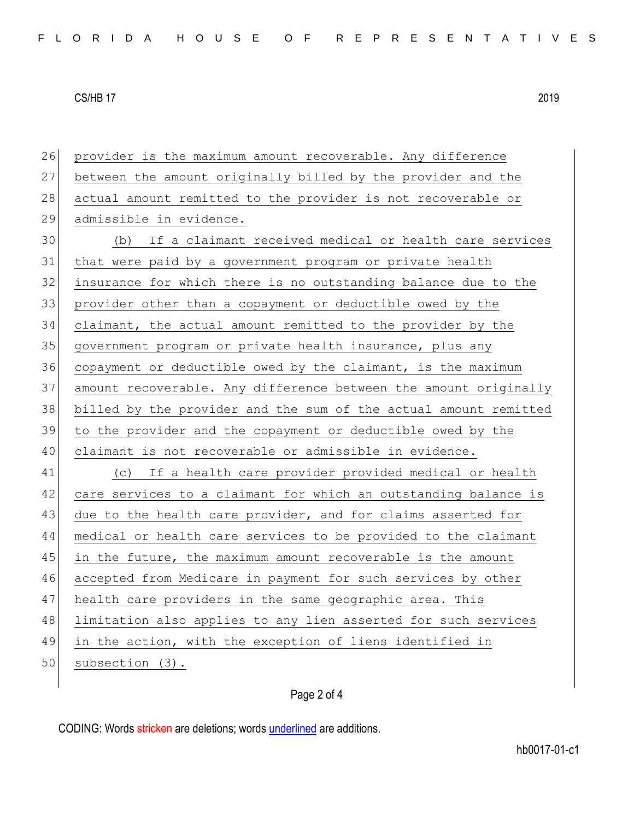| 26 | provider is the maximum amount recoverable. Any difference       |
|----|------------------------------------------------------------------|
| 27 | between the amount originally billed by the provider and the     |
| 28 | actual amount remitted to the provider is not recoverable or     |
| 29 | admissible in evidence.                                          |
| 30 | (b) If a claimant received medical or health care services       |
| 31 | that were paid by a government program or private health         |
| 32 | insurance for which there is no outstanding balance due to the   |
| 33 | provider other than a copayment or deductible owed by the        |
| 34 | claimant, the actual amount remitted to the provider by the      |
| 35 | government program or private health insurance, plus any         |
| 36 | copayment or deductible owed by the claimant, is the maximum     |
| 37 | amount recoverable. Any difference between the amount originally |
| 38 | billed by the provider and the sum of the actual amount remitted |
| 39 | to the provider and the copayment or deductible owed by the      |
| 40 | claimant is not recoverable or admissible in evidence.           |
| 41 | (c) If a health care provider provided medical or health         |
| 42 | care services to a claimant for which an outstanding balance is  |
| 43 | due to the health care provider, and for claims asserted for     |
| 44 | medical or health care services to be provided to the claimant   |
| 45 | in the future, the maximum amount recoverable is the amount      |
| 46 | accepted from Medicare in payment for such services by other     |
| 47 | health care providers in the same geographic area. This          |
| 48 | limitation also applies to any lien asserted for such services   |
| 49 | in the action, with the exception of liens identified in         |
| 50 | subsection (3).                                                  |
|    |                                                                  |

## Page 2 of 4

CODING: Words stricken are deletions; words underlined are additions.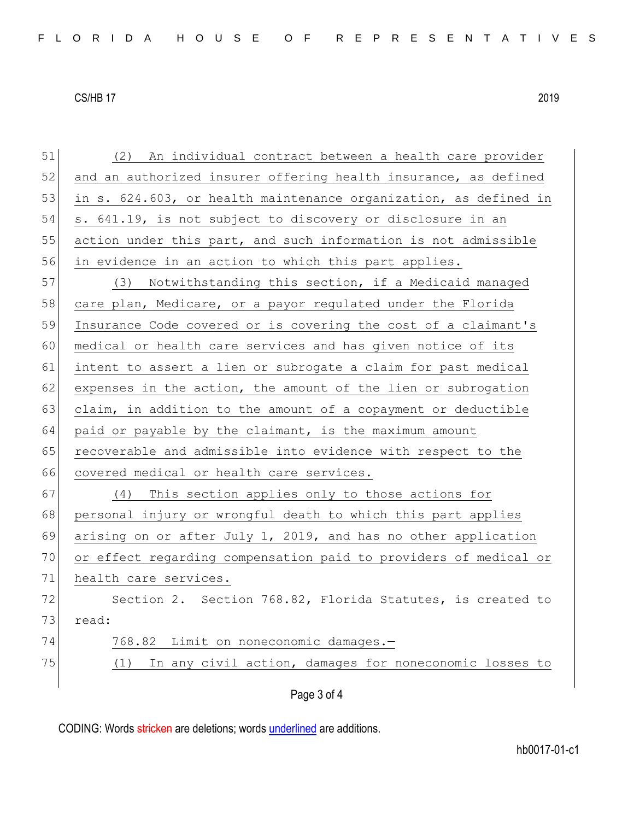51 (2) An individual contract between a health care provider 52 and an authorized insurer offering health insurance, as defined 53 in s. 624.603, or health maintenance organization, as defined in 54 s. 641.19, is not subject to discovery or disclosure in an 55 action under this part, and such information is not admissible 56 in evidence in an action to which this part applies. 57 (3) Notwithstanding this section, if a Medicaid managed 58 care plan, Medicare, or a payor regulated under the Florida 59 Insurance Code covered or is covering the cost of a claimant's 60 medical or health care services and has given notice of its 61 intent to assert a lien or subrogate a claim for past medical  $62$  expenses in the action, the amount of the lien or subrogation 63 claim, in addition to the amount of a copayment or deductible 64 paid or payable by the claimant, is the maximum amount 65 recoverable and admissible into evidence with respect to the 66 covered medical or health care services. 67 (4) This section applies only to those actions for 68 personal injury or wrongful death to which this part applies 69 arising on or after July 1, 2019, and has no other application 70 or effect regarding compensation paid to providers of medical or 71 health care services. 72 Section 2. Section 768.82, Florida Statutes, is created to 73 read: 74 768.82 Limit on noneconomic damages.-75  $(1)$  In any civil action, damages for noneconomic losses to

Page 3 of 4

CODING: Words stricken are deletions; words underlined are additions.